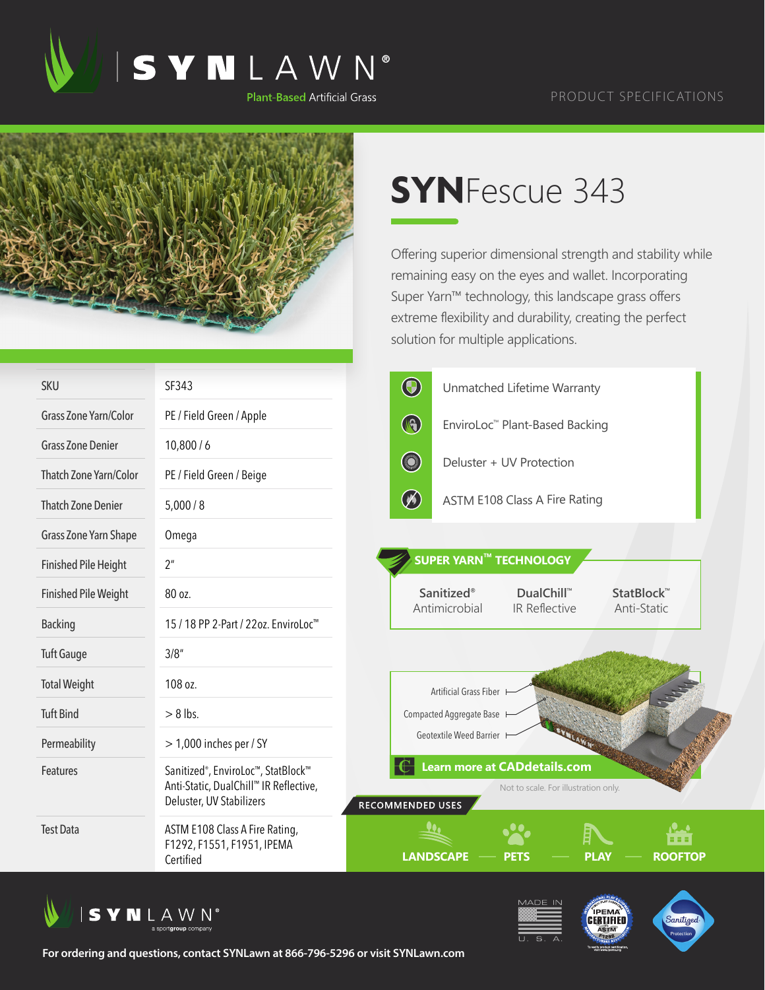

## PRODUCT SPECIFICATIONS



## **SYN**Fescue 343

Offering superior dimensional strength and stability while remaining easy on the eyes and wallet. Incorporating Super Yarn™ technology, this landscape grass offers extreme flexibility and durability, creating the perfect solution for multiple applications.

| <b>SKU</b>                    | SF343                                                                                                                 | $\bigcirc$              |                          | Unmatched Lifetime Warranty                                                 |                                            |  |
|-------------------------------|-----------------------------------------------------------------------------------------------------------------------|-------------------------|--------------------------|-----------------------------------------------------------------------------|--------------------------------------------|--|
| <b>Grass Zone Yarn/Color</b>  | PE / Field Green / Apple                                                                                              | $\circledast$           |                          | EnviroLoc™ Plant-Based Backing                                              |                                            |  |
| <b>Grass Zone Denier</b>      | 10,800/6                                                                                                              |                         |                          |                                                                             |                                            |  |
| <b>Thatch Zone Yarn/Color</b> | PE / Field Green / Beige                                                                                              | <b>Company</b>          |                          | Deluster + UV Protection                                                    |                                            |  |
| <b>Thatch Zone Denier</b>     | 5,000/8                                                                                                               | $\circledB$             |                          | ASTM E108 Class A Fire Rating                                               |                                            |  |
| Grass Zone Yarn Shape         | Omega                                                                                                                 |                         |                          |                                                                             |                                            |  |
| <b>Finished Pile Height</b>   | 2 <sup>n</sup>                                                                                                        |                         | SUPER YARN™ TECHNOLOGY   |                                                                             |                                            |  |
| <b>Finished Pile Weight</b>   | 80 oz.                                                                                                                |                         | <b>Sanitized®</b>        | <b>DualChill™</b>                                                           | StatBlock <sup>™</sup>                     |  |
| <b>Backing</b>                | 15 / 18 PP 2-Part / 22oz. EnviroLoc <sup>™</sup>                                                                      |                         | Antimicrobial            | IR Reflective                                                               | Anti-Static                                |  |
| <b>Tuft Gauge</b>             | 3/8''                                                                                                                 |                         |                          |                                                                             |                                            |  |
| <b>Total Weight</b>           | 108 oz.                                                                                                               |                         | Artificial Grass Fiber   |                                                                             |                                            |  |
| <b>Tuft Bind</b>              | $> 8$ lbs.                                                                                                            |                         | Compacted Aggregate Base |                                                                             |                                            |  |
| Permeability                  | $>$ 1,000 inches per / SY                                                                                             |                         | Geotextile Weed Barrier  |                                                                             |                                            |  |
| Features                      | Sanitized <sup>®</sup> , EnviroLoc™, StatBlock™<br>Anti-Static, DualChill™ IR Reflective,<br>Deluster, UV Stabilizers | <b>RECOMMENDED USES</b> |                          | <b>Learn more at CADdetails.com</b><br>Not to scale. For illustration only. |                                            |  |
| <b>Test Data</b>              | ASTM E108 Class A Fire Rating,<br>F1292, F1551, F1951, IPEMA<br>Certified                                             |                         | <b>LANDSCAPE</b>         | <b>PETS</b>                                                                 | <br>8 S S<br><b>ROOFTOP</b><br><b>PLAY</b> |  |





**For ordering and questions, contact SYNLawn at 866-796-5296 or visit SYNLawn.com**